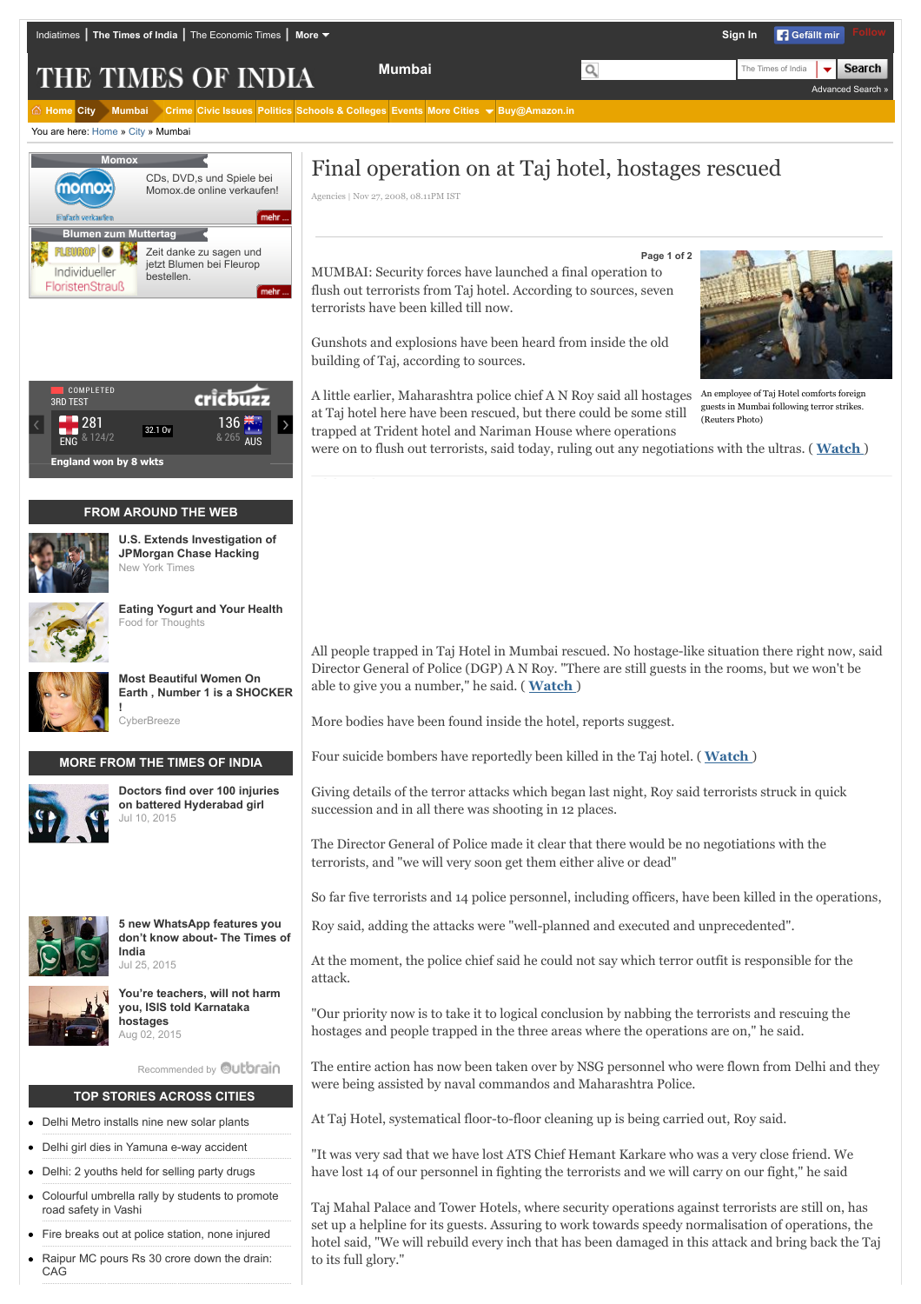THE TIMES OF INDIA

**[Home](http://timesofindia.indiatimes.com/) [City](http://timesofindia.indiatimes.com/city/cityarticlelist/-2128932452.cms) [Mumbai](http://timesofindia.indiatimes.com/city/mumbai/articlelist/-2128838597.cms) [Crime](http://timesofindia.indiatimes.com/city/mumbai/articlelist/-2128838597.cms?cfmid=2000000) [Civic Issues](http://timesofindia.indiatimes.com/city/mumbai/articlelist/-2128838597.cms?cfmid=14000000) [Politics](http://timesofindia.indiatimes.com/city/mumbai/articlelist/-2128838597.cms?cfmid=11000000) [Schools & Colleges](http://timesofindia.indiatimes.com/city/mumbai/articlelist/-2128838597.cms?cfmid=5000000) [Events](http://timesofindia.indiatimes.com/city/mumbai/eventlist/-2128838597.cms?cfmid=10099000) [More Cities](http://timesofindia.indiatimes.com/city/mumbai/Final-operation-on-at-Taj-hotel-hostages-rescued/articleshow/3763863.cms) [Buy@Amazon.in](http://www.amazon.in/?tag=times1-21)**

You are here: [Home](http://timesofindia.indiatimes.com/) » [City](http://timesofindia.indiatimes.com/city/cityarticlelist/-2128932452.cms) » Mumbai



|                              | <b>COMPLETED</b><br><b>3RD TEST</b> |         |                       |  |
|------------------------------|-------------------------------------|---------|-----------------------|--|
|                              | & 124/2<br>FNG                      | 32.1 Ov | 136 米<br>& 265<br>AUS |  |
| <b>England won by 8 wkts</b> |                                     |         |                       |  |

## **FROM AROUND THE WEB**



**[U.S. Extends Investigation of](http://www.nytimes.com/2015/07/29/business/us-extends-bank-breach-investigation.html?WT.mc_id=2015-AUGUST-OTB-INTL_AUD_DEV-0801-0831&WT.mc_ev=click&ad-keywords=IntlAudDev) JPMorgan Chase Hacking** New York Times



**[Eating Yogurt and Your Health](http://blog.strauss-group.com/experts-sharing-knowledge/eating-yogurt-and-your-health/)** Food for Thoughts



**Most Beautiful Women On [Earth , Number 1 is a SHOCKER](http://cyber-breeze.com/brace-your-eyes-the-most-beautiful-women-on-earth/?utm_source=Outbrain&utm_medium=referral&utm_campaign=OB-Beautiful-Int-DT) !**

**CyberBreeze** 

## **MORE FROM THE TIMES OF INDIA**



**[Doctors find over 100 injuries](http://timesofindia.indiatimes.com/city/hyderabad/Doctors-find-over-100-injuries-on-battered-Hyderabad-girl/articleshow/48011231.cms?intenttarget=no) on battered Hyderabad girl** Jul 10, 2015



**5 new WhatsApp features you [don't know about- The Times of](http://timesofindia.indiatimes.com/tech/5-new-whatsapp-features-you-dont-know-about/itslideshow/48182985.cms?intenttarget=no) India** Jul 25, 2015



**[You're teachers, will not harm](http://timesofindia.indiatimes.com/city/bengaluru/Youre-teachers-will-not-harm-you-ISIS-told-Karnataka-hostages/articleshow/48313337.cms?intenttarget=no) you, ISIS told Karnataka hostages** Aug 02, 2015

[Recommended by](http://timesofindia.indiatimes.com/city/mumbai/Final-operation-on-at-Taj-hotel-hostages-rescued/articleshow/3763863.cms#) **Outbrain** 

#### **TOP STORIES ACROSS CITIES**

- [Delhi Metro installs nine new solar plants](http://timesofindia.indiatimes.com/city/delhi/Delhi-Metro-installs-nine-new-solar-plants/articleshow/48342777.cms)
- [Delhi girl dies in Yamuna e-way accident](http://timesofindia.indiatimes.com/city/noida/Delhi-girl-dies-in-Yamuna-e-way-accident/articleshow/48337716.cms)
- [Delhi: 2 youths held for selling party drugs](http://timesofindia.indiatimes.com/city/delhi/2-youths-held-for-selling-party-drugs/articleshow/48337571.cms)
- [Colourful umbrella rally by students to promote](http://timesofindia.indiatimes.com/city/navi-mumbai/Colourful-umbrella-rally-by-students-to-promote-road-safety-in-Vashi/articleshow/48330576.cms) road safety in Vashi
- [Fire breaks out at police station, none injured](http://timesofindia.indiatimes.com/city/delhi/Fire-breaks-out-at-police-station-none-injured/articleshow/48327891.cms)
- [Raipur MC pours Rs 30 crore down the drain:](http://timesofindia.indiatimes.com/city/raipur/Raipur-MC-pours-Rs-30-crore-down-the-drain-CAG/articleshow/48323757.cms) CAG

# Final operation on at Taj hotel, hostages rescued

Agencies | Nov 27, 2008, 08.11PM IST

MUMBAI: Security forces have launched a final operation to flush out terrorists from Taj hotel. According to sources, seven terrorists have been killed till now.

**Mumbai** The Times of India

Gunshots and explosions have been heard from inside the old building of Taj, according to sources.

A little earlier, Maharashtra police chief A N Roy said all hostages An employee of Taj Hotel comforts foreign at Taj hotel here have been rescued, but there could be some still trapped at Trident hotel and Nariman House where operations



**Sign In F** Gefällt mir

[Advanced Search »](http://timesofindia.indiatimes.com/advancesearch.cms)

**Search** 

guests in Mumbai following terror strikes. (Reuters Photo)

were on to flush out terrorists, said today, ruling out any negotiations with the ultras. ( **[Watch](javascript:broadbandpopup(%27http://broadband.indiatimes.com/toishowvideo/3764609.cms%27,450,665))** )

**Page 1 of 2**

All people trapped in Taj Hotel in Mumbai rescued. No hostage-like situation there right now, said Director General of Police (DGP) A N Roy. "There are still guests in the rooms, but we won't be able to give you a number," he said. ( **[Watch](javascript:broadbandpopup(%27http://broadband.indiatimes.com/toishowvideo/3765881.cms%27,450,665))** )

More bodies have been found inside the hotel, reports suggest.

Four suicide bombers have reportedly been killed in the Taj hotel. ( **[Watch](javascript:broadbandpopup(%27http://broadband.indiatimes.com/toishowvideo/3764889.cms%27,450,665))** )

Giving details of the terror attacks which began last night, Roy said terrorists struck in quick succession and in all there was shooting in 12 places.

The Director General of Police made it clear that there would be no negotiations with the terrorists, and "we will very soon get them either alive or dead"

So far five terrorists and 14 police personnel, including officers, have been killed in the operations,

Roy said, adding the attacks were "well-planned and executed and unprecedented".

At the moment, the police chief said he could not say which terror outfit is responsible for the attack.

"Our priority now is to take it to logical conclusion by nabbing the terrorists and rescuing the hostages and people trapped in the three areas where the operations are on," he said.

The entire action has now been taken over by NSG personnel who were flown from Delhi and they were being assisted by naval commandos and Maharashtra Police.

At Taj Hotel, systematical floor-to-floor cleaning up is being carried out, Roy said.

"It was very sad that we have lost ATS Chief Hemant Karkare who was a very close friend. We have lost 14 of our personnel in fighting the terrorists and we will carry on our fight," he said

Taj Mahal Palace and Tower Hotels, where security operations against terrorists are still on, has set up a helpline for its guests. Assuring to work towards speedy normalisation of operations, the hotel said, "We will rebuild every inch that has been damaged in this attack and bring back the Taj to its full glory."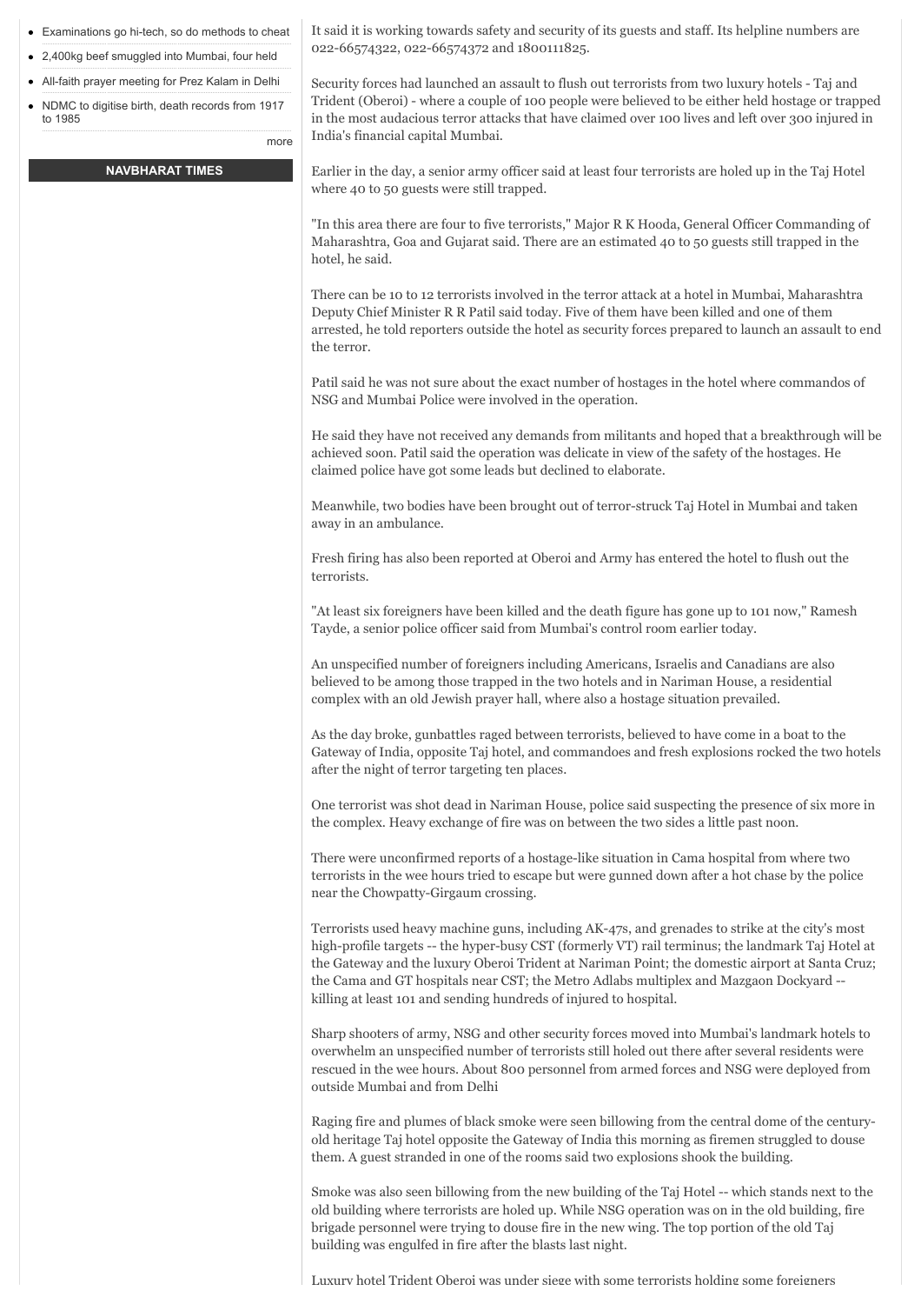- [Examinations go hi-tech, so do methods to cheat](http://timesofindia.indiatimes.com/city/pune/Examinations-go-hi-tech-so-do-methods-to-cheat/articleshow/48323109.cms)
- [2,400kg beef smuggled into Mumbai, four held](http://timesofindia.indiatimes.com/city/mumbai/2400kg-beef-smuggled-into-Mumbai-four-held/articleshow/48322128.cms)
- [All-faith prayer meeting for Prez Kalam in Delhi](http://timesofindia.indiatimes.com/city/delhi/All-faith-prayer-meeting-for-Prez-Kalam-in-Delhi/articleshow/48318364.cms)
- [NDMC to digitise birth, death records from 1917](http://timesofindia.indiatimes.com/city/delhi/NDMC-to-digitise-birth-death-records-dating-from-1917-to-1985/articleshow/48316214.cms) to 1985

#### **[NAVBHARAT TIMES](http://navbharattimes.indiatimes.com/?utm_source=TOInewHP_TILwidget&utm_medium=ABtest&utm_campaign=TOInewHP)**

[more](http://timesofindia.indiatimes.com/city/cityarticlelist/-2128932452.cms)

It said it is working towards safety and security of its guests and staff. Its helpline numbers are 022-66574322, 022-66574372 and 1800111825.

Security forces had launched an assault to flush out terrorists from two luxury hotels - Taj and Trident (Oberoi) - where a couple of 100 people were believed to be either held hostage or trapped in the most audacious terror attacks that have claimed over 100 lives and left over 300 injured in India's financial capital Mumbai.

Earlier in the day, a senior army officer said at least four terrorists are holed up in the Taj Hotel where 40 to 50 guests were still trapped.

"In this area there are four to five terrorists," Major R K Hooda, General Officer Commanding of Maharashtra, Goa and Gujarat said. There are an estimated 40 to 50 guests still trapped in the hotel, he said.

There can be 10 to 12 terrorists involved in the terror attack at a hotel in Mumbai, Maharashtra Deputy Chief Minister R R Patil said today. Five of them have been killed and one of them arrested, he told reporters outside the hotel as security forces prepared to launch an assault to end the terror.

Patil said he was not sure about the exact number of hostages in the hotel where commandos of NSG and Mumbai Police were involved in the operation.

He said they have not received any demands from militants and hoped that a breakthrough will be achieved soon. Patil said the operation was delicate in view of the safety of the hostages. He claimed police have got some leads but declined to elaborate.

Meanwhile, two bodies have been brought out of terror-struck Taj Hotel in Mumbai and taken away in an ambulance.

Fresh firing has also been reported at Oberoi and Army has entered the hotel to flush out the terrorists.

"At least six foreigners have been killed and the death figure has gone up to 101 now," Ramesh Tayde, a senior police officer said from Mumbai's control room earlier today.

An unspecified number of foreigners including Americans, Israelis and Canadians are also believed to be among those trapped in the two hotels and in Nariman House, a residential complex with an old Jewish prayer hall, where also a hostage situation prevailed.

As the day broke, gunbattles raged between terrorists, believed to have come in a boat to the Gateway of India, opposite Taj hotel, and commandoes and fresh explosions rocked the two hotels after the night of terror targeting ten places.

One terrorist was shot dead in Nariman House, police said suspecting the presence of six more in the complex. Heavy exchange of fire was on between the two sides a little past noon.

There were unconfirmed reports of a hostage-like situation in Cama hospital from where two terrorists in the wee hours tried to escape but were gunned down after a hot chase by the police near the Chowpatty-Girgaum crossing.

Terrorists used heavy machine guns, including AK-47s, and grenades to strike at the city's most high-profile targets -- the hyper-busy CST (formerly VT) rail terminus; the landmark Taj Hotel at the Gateway and the luxury Oberoi Trident at Nariman Point; the domestic airport at Santa Cruz; the Cama and GT hospitals near CST; the Metro Adlabs multiplex and Mazgaon Dockyard - killing at least 101 and sending hundreds of injured to hospital.

Sharp shooters of army, NSG and other security forces moved into Mumbai's landmark hotels to overwhelm an unspecified number of terrorists still holed out there after several residents were rescued in the wee hours. About 800 personnel from armed forces and NSG were deployed from outside Mumbai and from Delhi

Raging fire and plumes of black smoke were seen billowing from the central dome of the centuryold heritage Taj hotel opposite the Gateway of India this morning as firemen struggled to douse them. A guest stranded in one of the rooms said two explosions shook the building.

Smoke was also seen billowing from the new building of the Taj Hotel -- which stands next to the old building where terrorists are holed up. While NSG operation was on in the old building, fire brigade personnel were trying to douse fire in the new wing. The top portion of the old Taj building was engulfed in fire after the blasts last night.

Luxury hotel Trident Oberoi was under siege with some terrorists holding some foreigners